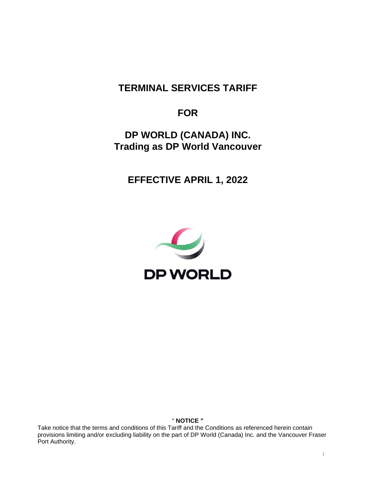# **TERMINAL SERVICES TARIFF**

# **FOR**

**DP WORLD (CANADA) INC. Trading as DP World Vancouver**

**EFFECTIVE APRIL 1, 2022**



" **NOTICE "**

Take notice that the terms and conditions of this Tariff and the Conditions as referenced herein contain provisions limiting and/or excluding liability on the part of DP World (Canada) Inc. and the Vancouver Fraser Port Authority.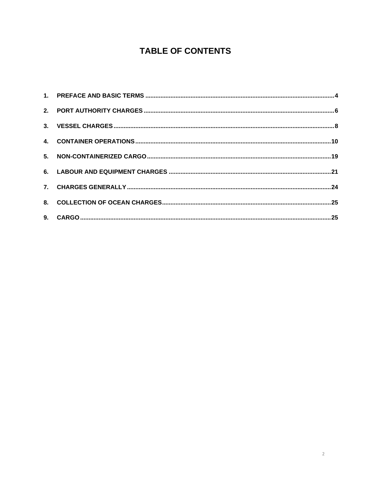# **TABLE OF CONTENTS**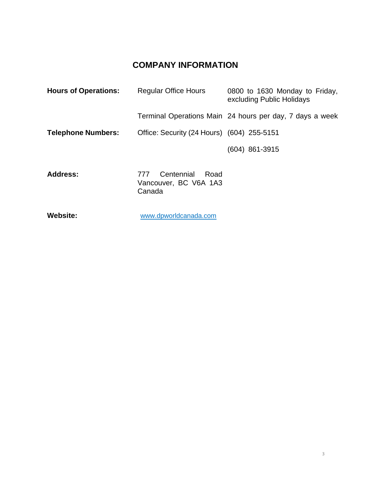# **COMPANY INFORMATION**

| <b>Hours of Operations:</b> | <b>Regular Office Hours</b>                | 0800 to 1630 Monday to Friday,<br>excluding Public Holidays |
|-----------------------------|--------------------------------------------|-------------------------------------------------------------|
|                             |                                            | Terminal Operations Main 24 hours per day, 7 days a week    |
| <b>Telephone Numbers:</b>   | Office: Security (24 Hours) (604) 255-5151 |                                                             |
|                             |                                            | $(604)$ 861-3915                                            |
|                             |                                            |                                                             |

| <b>Address:</b> |        | 777 Centennial Road   |  |
|-----------------|--------|-----------------------|--|
|                 | Canada | Vancouver, BC V6A 1A3 |  |

**Website:** 

[www.dpworldcanada.com](http://www.dpworldcanada.com/)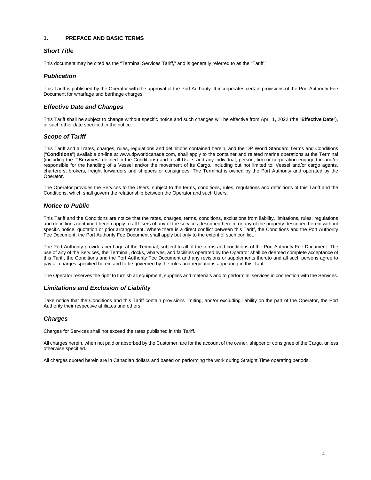# <span id="page-3-0"></span>**1. PREFACE AND BASIC TERMS**

# *Short Title*

This document may be cited as the "Terminal Services Tariff," and is generally referred to as the "Tariff."

# *Publication*

This Tariff is published by the Operator with the approval of the Port Authority. It incorporates certain provisions of the Port Authority Fee Document for wharfage and berthage charges.

# *Effective Date and Changes*

This Tariff shall be subject to change without specific notice and such changes will be effective from April 1, 2022 (the "**Effective Date**"), or such other date specified in the notice.

# *Scope of Tariff*

This Tariff and all rates, charges, rules, regulations and definitions contained herein, and the DP World Standard Terms and Conditions ("**Conditions**") available on-line at www.dpworldcanada.com, shall apply to the container and related marine operations at the Terminal (including the **"Services**" defined in the Conditions) and to all Users and any individual, person, firm or corporation engaged in and/or responsible for the handling of a Vessel and/or the movement of its Cargo, including but not limited to; Vessel and/or cargo agents, charterers, brokers, freight forwarders and shippers or consignees. The Terminal is owned by the Port Authority and operated by the Operator.

The Operator provides the Services to the Users, subject to the terms, conditions, rules, regulations and definitions of this Tariff and the Conditions, which shall govern the relationship between the Operator and such Users.

# *Notice to Public*

This Tariff and the Conditions are notice that the rates, charges, terms, conditions, exclusions from liability, limitations, rules, regulations and definitions contained herein apply to all Users of any of the services described herein, or any of the property described herein without specific notice, quotation or prior arrangement. Where there is a direct conflict between this Tariff, the Conditions and the Port Authority Fee Document, the Port Authority Fee Document shall apply but only to the extent of such conflict.

The Port Authority provides berthage at the Terminal, subject to all of the terms and conditions of the Port Authority Fee Document. The use of any of the Services, the Terminal, docks, wharves, and facilities operated by the Operator shall be deemed complete acceptance of this Tariff, the Conditions and the Port Authority Fee Document and any revisions or supplements thereto and all such persons agree to pay all charges specified herein and to be governed by the rules and regulations appearing in this Tariff.

The Operator reserves the right to furnish all equipment, supplies and materials and to perform all services in connection with the Services.

# *Limitations and Exclusion of Liability*

Take notice that the Conditions and this Tariff contain provisions limiting, and/or excluding liability on the part of the Operator, the Port Authority their respective affiliates and others.

# *Charges*

Charges for Services shall not exceed the rates published in this Tariff.

All charges herein, when not paid or absorbed by the Customer, are for the account of the owner, shipper or consignee of the Cargo, unless otherwise specified.

All charges quoted herein are in Canadian dollars and based on performing the work during Straight Time operating periods.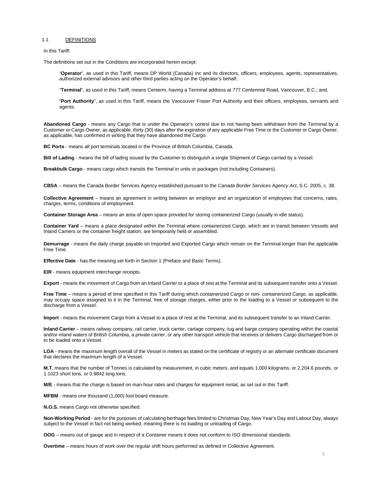#### 1.1 DEFINITIONS

In this Tariff:

The definitions set out in the Conditions are incorporated herein except:

"**Operator**", as used in this Tariff, means DP World (Canada) Inc and its directors, officers, employees, agents, representatives, authorized external advisors and other third parties acting on the Operator's behalf;

"**Terminal**", as used in this Tariff, means Centerm, having a Terminal address at 777 Centennial Road, Vancouver, B.C.; and,

"**Port Authority**", as used in this Tariff, means the Vancouver Fraser Port Authority and their officers, employees, servants and agents.

**Abandoned Cargo** - means any Cargo that is under the Operator's control due to not having been withdrawn from the Terminal by a Customer or Cargo Owner, as applicable, thirty (30) days after the expiration of any applicable Free Time or the Customer or Cargo Owner, as applicable, has confirmed in writing that they have abandoned the Cargo.

**BC Ports** - means all port terminals located in the Province of British Columbia, Canada.

**Bill of Lading** - means the bill of lading issued by the Customer to distinguish a single Shipment of Cargo carried by a Vessel.

**Breakbulk Cargo** - means cargo which transits the Terminal in units or packages (not including Containers).

**CBSA** – means the Canada Border Services Agency established pursuant to the *Canada Border Services Agency Act*, S.C. 2005, c. 38.

**Collective Agreement** – means an agreement in writing between an employer and an organization of employees that concerns, rates, charges, terms, conditions of employment.

**Container Storage Area** – means an area of open space provided for storing containerized Cargo (usually in idle status).

**Container Yard** – means a place designated within the Terminal where containerized Cargo, which are in transit between Vessels and Inland Carriers or the container freight station, are temporarily held or assembled.

**Demurrage** - means the daily charge payable on Imported and Exported Cargo which remain on the Terminal longer than the applicable Free Time.

**Effective Date** - has the meaning set forth in Section 1 (Preface and Basic Terms).

**EIR** - means equipment interchange receipts.

**Export** - means the movement of Cargo from an Inland Carrier to a place of rest at the Terminal and its subsequent transfer onto a Vessel.

**Free Time** – means a period of time specified in this Tariff during which containerized Cargo or non- containerized Cargo, as applicable, may occupy space assigned to it in the Terminal, free of storage charges, either prior to the loading to a Vessel or subsequent to the discharge from a Vessel.

**Import** - means the movement Cargo from a Vessel to a place of rest at the Terminal, and its subsequent transfer to an Inland Carrier.

**Inland Carrier** – means railway company, rail carrier, truck carrier, cartage company, tug and barge company operating within the coastal and/or inland waters of British Columbia, a private carrier, or any other transport vehicle that receives or delivers Cargo discharged from or to be loaded onto a Vessel.

LOA - means the maximum length overall of the Vessel in meters as stated on the certificate of registry or an alternate certificate document that declares the maximum length of a Vessel.

**M.T.** means that the number of Tonnes is calculated by measurement, in cubic meters, and equals 1,000 kilograms, or 2,204.6 pounds, or 1.1023 short tons, or 0.9842 long tons.

**M/E** - means that the charge is based on man-hour rates and charges for equipment rental, as set out in this Tariff.

**MFBM** - means one thousand (1,000) foot board measure.

**N.O.S.** means Cargo not otherwise specified.

**Non-Working Period** - are for the purposes of calculating berthage fees limited to Christmas Day, New Year's Day and Labour Day, always subject to the Vessel in fact not being worked, meaning there is no loading or unloading of Cargo.

**OOG** – means out of gauge and in respect of a Container means it does not conform to ISO dimensional standards.

**Overtime** – means hours of work over the regular shift hours performed as defined in Collective Agreement.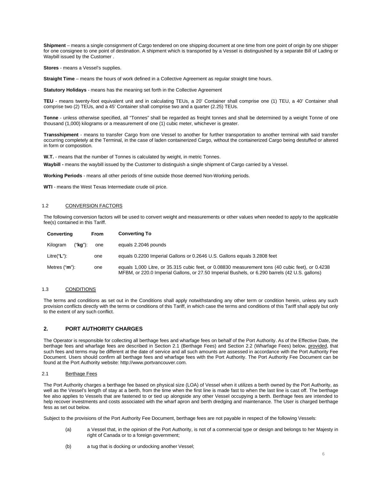**Shipment** – means a single consignment of Cargo tendered on one shipping document at one time from one point of origin by one shipper for one consignee to one point of destination. A shipment which is transported by a Vessel is distinguished by a separate Bill of Lading or Waybill issued by the Customer .

**Stores** - means a Vessel's supplies.

**Straight Time** – means the hours of work defined in a Collective Agreement as regular straight time hours.

**Statutory Holidays** - means has the meaning set forth in the Collective Agreement

**TEU** - means twenty-foot equivalent unit and in calculating TEUs, a 20' Container shall comprise one (1) TEU, a 40' Container shall comprise two (2) TEUs, and a 45' Container shall comprise two and a quarter (2.25) TEUs.

**Tonne** - unless otherwise specified, all "Tonnes" shall be regarded as freight tonnes and shall be determined by a weight Tonne of one thousand (1,000) kilograms or a measurement of one (1) cubic meter, whichever is greater.

**Transshipment** - means to transfer Cargo from one Vessel to another for further transportation to another terminal with said transfer occurring completely at the Terminal, in the case of laden containerized Cargo, without the containerized Cargo being destuffed or altered in form or composition.

**W.T.** - means that the number of Tonnes is calculated by weight, in metric Tonnes.

**Waybill -** means the waybill issued by the Customer to distinguish a single shipment of Cargo carried by a Vessel.

**Working Periods** - means all other periods of time outside those deemed Non-Working periods.

**WTI** - means the West Texas Intermediate crude oil price.

#### 1.2 CONVERSION FACTORS

The following conversion factors will be used to convert weight and measurements or other values when needed to apply to the applicable fee(s) contained in this Tariff.

| Converting                                                                                                                                                                                                                 | From | <b>Converting To</b>                                                     |
|----------------------------------------------------------------------------------------------------------------------------------------------------------------------------------------------------------------------------|------|--------------------------------------------------------------------------|
| ("kg"):<br>Kilogram                                                                                                                                                                                                        | one  | equals 2.2046 pounds                                                     |
| Litre("L"):                                                                                                                                                                                                                | one  | equals 0.2200 Imperial Gallons or 0.2646 U.S. Gallons equals 3.2808 feet |
| equals 1,000 Litre, or 35.315 cubic feet, or 0.08830 measurement tons (40 cubic feet), or 0.4238<br>Metres ("m"):<br>one<br>MFBM, or 220.0 Imperial Gallons, or 27.50 Imperial Bushels, or 6.290 barrels (42 U.S. gallons) |      |                                                                          |

#### 1.3 CONDITIONS

The terms and conditions as set out in the Conditions shall apply notwithstanding any other term or condition herein, unless any such provision conflicts directly with the terms or conditions of this Tariff, in which case the terms and conditions of this Tariff shall apply but only to the extent of any such conflict.

#### <span id="page-5-0"></span>**2. PORT AUTHORITY CHARGES**

The Operator is responsible for collecting all berthage fees and wharfage fees on behalf of the Port Authority. As of the Effective Date, the berthage fees and wharfage fees are described in Section 2.1 (Berthage Fees) and Section 2.2 (Wharfage Fees) below, provided, that such fees and terms may be different at the date of service and all such amounts are assessed in accordance with the Port Authority Fee Document. Users should confirm all berthage fees and wharfage fees with the Port Authority. The Port Authority Fee Document can be found at the Port Authority website[: http://www.portvancouver.com.](http://www.portvancouver.com/)

# 2.1 Berthage Fees

The Port Authority charges a berthage fee based on physical size (LOA) of Vessel when it utilizes a berth owned by the Port Authority, as well as the Vessel's length of stay at a berth, from the time when the first line is made fast to when the last line is cast off. The berthage fee also applies to Vessels that are fastened to or tied up alongside any other Vessel occupying a berth. Berthage fees are intended to help recover investments and costs associated with the wharf apron and berth dredging and maintenance. The User is charged berthage fess as set out below.

Subject to the provisions of the Port Authority Fee Document, berthage fees are not payable in respect of the following Vessels:

- (a) a Vessel that, in the opinion of the Port Authority, is not of a commercial type or design and belongs to her Majesty in right of Canada or to a foreign government;
- (b) a tug that is docking or undocking another Vessel;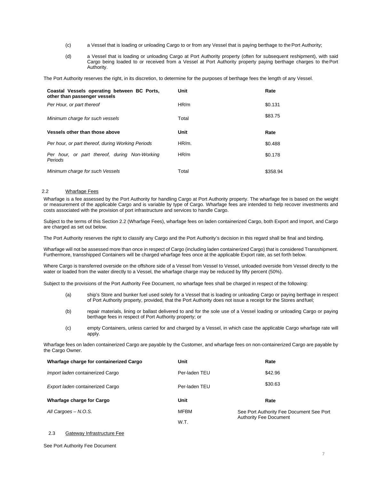- (c) a Vessel that is loading or unloading Cargo to or from any Vessel that is paying berthage to thePort Authority;
- (d) a Vessel that is loading or unloading Cargo at Port Authority property (often for subsequent reshipment), with said Cargo being loaded to or received from a Vessel at Port Authority property paying berthage charges to thePort Authority.

The Port Authority reserves the right, in its discretion, to determine for the purposes of berthage fees the length of any Vessel.

| Coastal Vessels operating between BC Ports,<br>other than passenger vessels | Unit  | Rate     |
|-----------------------------------------------------------------------------|-------|----------|
| Per Hour, or part thereof                                                   | HR/m  | \$0.131  |
| Minimum charge for such vessels                                             | Total | \$83.75  |
| Vessels other than those above                                              | Unit  | Rate     |
| Per hour, or part thereof, during Working Periods                           | HR/m. | \$0.488  |
| Per hour, or part thereof, during Non-Working<br>Periods                    | HR/m  | \$0.178  |
| Minimum charge for such Vessels                                             | Total | \$358.94 |

# 2.2 Wharfage Fees

Wharfage is a fee assessed by the Port Authority for handling Cargo at Port Authority property. The wharfage fee is based on the weight or measurement of the applicable Cargo and is variable by type of Cargo. Wharfage fees are intended to help recover investments and costs associated with the provision of port infrastructure and services to handle Cargo.

Subject to the terms of this Section 2.2 (Wharfage Fees), wharfage fees on laden containerized Cargo, both Export and Import, and Cargo are charged as set out below.

The Port Authority reserves the right to classify any Cargo and the Port Authority's decision in this regard shall be final and binding.

Wharfage will not be assessed more than once in respect of Cargo (including laden containerized Cargo) that is considered Transshipment. Furthermore, transshipped Containers will be charged wharfage fees once at the applicable Export rate, as set forth below.

Where Cargo is transferred overside on the offshore side of a Vessel from Vessel to Vessel, unloaded overside from Vessel directly to the water or loaded from the water directly to a Vessel, the wharfage charge may be reduced by fifty percent (50%).

Subject to the provisions of the Port Authority Fee Document, no wharfage fees shall be charged in respect of the following:

- (a) ship's Store and bunker fuel used solely for a Vessel that is loading or unloading Cargo or paying berthage in respect of Port Authority property, provided, that the Port Authority does not issue a receipt for the Stores andfuel;
- (b) repair materials, lining or ballast delivered to and for the sole use of a Vessel loading or unloading Cargo or paying berthage fees in respect of Port Authority property; or
- (c) empty Containers, unless carried for and charged by a Vessel, in which case the applicable Cargo wharfage rate will apply.

Wharfage fees on laden containerized Cargo are payable by the Customer, and wharfage fees on non-containerized Cargo are payable by the Cargo Owner.

| Wharfage charge for containerized Cargo | Unit          | Rate                                     |
|-----------------------------------------|---------------|------------------------------------------|
| Import laden containerized Cargo        | Per-laden TEU | \$42.96                                  |
| Export laden containerized Cargo        | Per-laden TEU | \$30.63                                  |
| Wharfage charge for Cargo               | Unit          | Rate                                     |
| All Cargoes - N.O.S.                    | <b>MFBM</b>   | See Port Authority Fee Document See Port |
|                                         | W.T.          | <b>Authority Fee Document</b>            |

# 2.3 Gateway Infrastructure Fee

See Port Authority Fee Document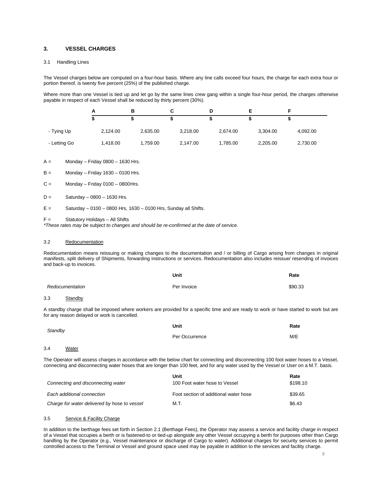# <span id="page-7-0"></span>**3. VESSEL CHARGES**

#### 3.1 Handling Lines

The Vessel charges below are computed on a four-hour basis. Where any line calls exceed four hours, the charge for each extra hour or portion thereof, is twenty five percent (25%) of the published charge.

Where more than one Vessel is tied up and let go by the same lines crew gang within a single four-hour period, the charges otherwise payable in respect of each Vessel shall be reduced by thirty percent (30%).

|              |          | в        |          |          |          |          |  |
|--------------|----------|----------|----------|----------|----------|----------|--|
|              |          |          |          |          |          |          |  |
| - Tying Up   | 2,124.00 | 2,635.00 | 3,218.00 | 2,674.00 | 3.304.00 | 4,092.00 |  |
| - Letting Go | 1,418.00 | 1,759.00 | 2,147.00 | 1,785.00 | 2,205.00 | 2,730.00 |  |

 $A =$  Monday – Friday 0800 – 1630 Hrs.

- $B =$  Monday Friday 1630 0100 Hrs.
- $C =$  Monday Friday 0100 0800 Hrs.
- $D =$  Saturday 0800 1630 Hrs.
- $E =$  Saturday 0100 0800 Hrs, 1630 0100 Hrs, Sunday all Shifts.

F = Statutory Holidays – All Shifts

*\*These rates may be subject to changes and should be re-confirmed at the date of service.*

#### 3.2 Redocumentation

Redocumentation means reissuing or making changes to the documentation and / or billing of Cargo arising from changes in original manifests, split delivery of Shipments, forwarding instructions or services. Redocumentation also includes reissue/ resending of invoices and back-up to invoices.

|                 | Unit        | Rate    |
|-----------------|-------------|---------|
| Redocumentation | Per Invoice | \$90.33 |

#### 3.3 Standby

A standby charge shall be imposed where workers are provided for a specific time and are ready to work or have started to work but are for any reason delayed or work is cancelled.

| Standby             | Unit           | Rate |
|---------------------|----------------|------|
|                     | Per Occurrence | M/E  |
| 3.4<br><b>Water</b> |                |      |

The Operator will assess charges in accordance with the below chart for connecting and disconnecting 100 foot water hoses to a Vessel, connecting and disconnecting water hoses that are longer than 100 feet, and for any water used by the Vessel or User on a M.T. basis.

|                                              | Unit                                  | Rate     |
|----------------------------------------------|---------------------------------------|----------|
| Connecting and disconnecting water           | 100 Foot water hose to Vessel         | \$198.10 |
| Each additional connection                   | Foot section of additional water hose | \$39.65  |
| Charge for water delivered by hose to vessel | M.T.                                  | \$6.43   |

### 3.5 Service & Facility Charge

In addition to the berthage fees set forth in Section 2.1 (Berthage Fees), the Operator may assess a service and facility charge in respect of a Vessel that occupies a berth or is fastened-to or tied-up alongside any other Vessel occupying a berth for purposes other than Cargo handling by the Operator (e.g., Vessel maintenance or discharge of Cargo to water). Additional charges for security services to permit controlled access to the Terminal or Vessel and ground space used may be payable in addition to the services and facility charge.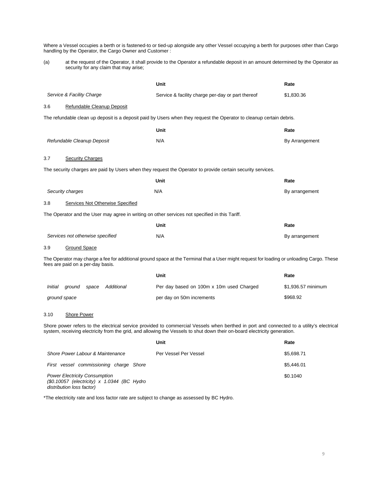Where a Vessel occupies a berth or is fastened-to or tied-up alongside any other Vessel occupying a berth for purposes other than Cargo handling by the Operator, the Cargo Owner and Customer :

(a) at the request of the Operator, it shall provide to the Operator a refundable deposit in an amount determined by the Operator as security for any claim that may arise;

|         |                                                                                                | Unit                                                                                                                                                                                                                                                                  | Rate               |
|---------|------------------------------------------------------------------------------------------------|-----------------------------------------------------------------------------------------------------------------------------------------------------------------------------------------------------------------------------------------------------------------------|--------------------|
|         | Service & Facility Charge                                                                      | Service & facility charge per-day or part thereof                                                                                                                                                                                                                     | \$1,830.36         |
| 3.6     | Refundable Cleanup Deposit                                                                     |                                                                                                                                                                                                                                                                       |                    |
|         |                                                                                                | The refundable clean up deposit is a deposit paid by Users when they request the Operator to cleanup certain debris.                                                                                                                                                  |                    |
|         |                                                                                                | Unit                                                                                                                                                                                                                                                                  | Rate               |
|         | Refundable Cleanup Deposit                                                                     | N/A                                                                                                                                                                                                                                                                   | By Arrangement     |
| 3.7     | <b>Security Charges</b>                                                                        |                                                                                                                                                                                                                                                                       |                    |
|         |                                                                                                | The security charges are paid by Users when they request the Operator to provide certain security services.                                                                                                                                                           |                    |
|         |                                                                                                | Unit                                                                                                                                                                                                                                                                  | Rate               |
|         | Security charges                                                                               | N/A                                                                                                                                                                                                                                                                   | By arrangement     |
| 3.8     | Services Not Otherwise Specified                                                               |                                                                                                                                                                                                                                                                       |                    |
|         | The Operator and the User may agree in writing on other services not specified in this Tariff. |                                                                                                                                                                                                                                                                       |                    |
|         |                                                                                                | Unit                                                                                                                                                                                                                                                                  | Rate               |
|         | Services not otherwise specified                                                               | N/A                                                                                                                                                                                                                                                                   | By arrangement     |
| 3.9     | <b>Ground Space</b>                                                                            |                                                                                                                                                                                                                                                                       |                    |
|         | fees are paid on a per-day basis.                                                              | The Operator may charge a fee for additional ground space at the Terminal that a User might request for loading or unloading Cargo. These                                                                                                                             |                    |
|         |                                                                                                | Unit                                                                                                                                                                                                                                                                  | Rate               |
| Initial | Additional<br>ground<br>space                                                                  | Per day based on 100m x 10m used Charged                                                                                                                                                                                                                              | \$1,936.57 minimum |
|         | ground space                                                                                   | per day on 50m increments                                                                                                                                                                                                                                             | \$968.92           |
| 3.10    | <b>Shore Power</b>                                                                             |                                                                                                                                                                                                                                                                       |                    |
|         |                                                                                                | Shore power refers to the electrical service provided to commercial Vessels when berthed in port and connected to a utility's electrical<br>system, receiving electricity from the grid, and allowing the Vessels to shut down their on-board electricity generation. |                    |
|         |                                                                                                | Unit                                                                                                                                                                                                                                                                  | Rate               |
|         | Shore Power Labour & Maintenance                                                               | Per Vessel Per Vessel                                                                                                                                                                                                                                                 | \$5,698.71         |
|         | First vessel commissioning charge Shore                                                        |                                                                                                                                                                                                                                                                       | \$5.446.01         |

*Power Electricity Consumption (\$0.10057 (electricity) x 1.0344 (BC Hydro distribution loss factor)*

\*The electricity rate and loss factor rate are subject to change as assessed by BC Hydro.

\$0.1040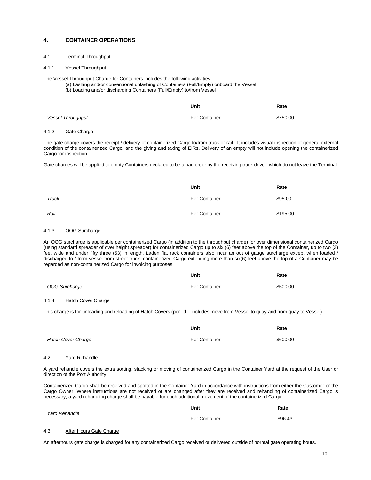# <span id="page-9-0"></span>**4. CONTAINER OPERATIONS**

# 4.1 Terminal Throughput

#### 4.1.1 Vessel Throughput

The Vessel Throughput Charge for Containers includes the following activities:

- (a) Lashing and/or conventional unlashing of Containers (Full/Empty) onboard the Vessel
- (b) Loading and/or discharging Containers (Full/Empty) to/from Vessel

|                          | Unit          | Rate     |
|--------------------------|---------------|----------|
| <b>Vessel Throughput</b> | Per Container | \$750.00 |

#### 4.1.2 Gate Charge

The gate charge covers the receipt / delivery of containerized Cargo to/from truck or rail. It includes visual inspection of general external condition of the containerized Cargo, and the giving and taking of EIRs. Delivery of an empty will not include opening the containerized Cargo for inspection.

Gate charges will be applied to empty Containers declared to be a bad order by the receiving truck driver, which do not leave the Terminal.

|       | Unit          | Rate     |
|-------|---------------|----------|
| Truck | Per Container | \$95.00  |
| Rail  | Per Container | \$195.00 |

# 4.1.3 OOG Surcharge

An OOG surcharge is applicable per containerized Cargo (in addition to the throughput charge) for over dimensional containerized Cargo (using standard spreader of over height spreader) for containerized Cargo up to six (6) feet above the top of the Container, up to two (2) feet wide and under fifty three (53) in length. Laden flat rack containers also incur an out of gauge surcharge except when loaded / discharged to / from vessel from street truck. containerized Cargo extending more than six(6) feet above the top of a Container may be regarded as non-containerized Cargo for invoicing purposes.

|                                                                                                                                  | Unit          | Rate     |
|----------------------------------------------------------------------------------------------------------------------------------|---------------|----------|
| OOG Surcharge                                                                                                                    | Per Container | \$500.00 |
| 4.1.4<br>Hatch Cover Charge                                                                                                      |               |          |
| This charge is for unloading and reloading of Hatch Covers (per lid – includes move from Vessel to quay and from quay to Vessel) |               |          |

|                           | Unit          | Rate     |
|---------------------------|---------------|----------|
| <b>Hatch Cover Charge</b> | Per Container | \$600.00 |

#### 4.2 Yard Rehandle

A yard rehandle covers the extra sorting, stacking or moving of containerized Cargo in the Container Yard at the request of the User or direction of the Port Authority.

Containerized Cargo shall be received and spotted in the Container Yard in accordance with instructions from either the Customer or the Cargo Owner. Where instructions are not received or are changed after they are received and rehandling of containerized Cargo is necessary, a yard rehandling charge shall be payable for each additional movement of the containerized Cargo.

|               |                         | Unit    | Rate |
|---------------|-------------------------|---------|------|
| Yard Rehandle | Per Container           | \$96.43 |      |
| 4.3           | After Hours Gate Charge |         |      |

An afterhours gate charge is charged for any containerized Cargo received or delivered outside of normal gate operating hours.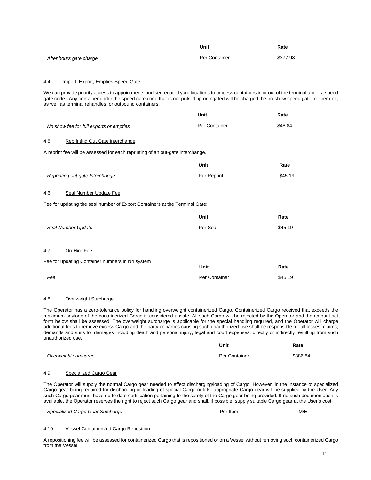|                         | Unit          | Rate     |
|-------------------------|---------------|----------|
| After hours gate charge | Per Container | \$377.98 |

# 4.4 Import, Export, Empties Speed Gate

We can provide priority access to appointments and segregated yard locations to process containers in or out of the terminal under a speed gate code. Any container under the speed gate code that is not picked up or ingated will be charged the no-show speed gate fee per unit, as well as terminal rehandles for outbound containers.

|                                                                                | Unit          | Rate    |
|--------------------------------------------------------------------------------|---------------|---------|
| No show fee for full exports or empties                                        | Per Container | \$48.84 |
| 4.5<br>Reprinting Out Gate Interchange                                         |               |         |
| A reprint fee will be assessed for each reprinting of an out-gate interchange. |               |         |
|                                                                                | Unit          | Rate    |
| Reprinting out gate Interchange                                                | Per Reprint   | \$45.19 |
| Seal Number Update Fee<br>4.6                                                  |               |         |
| Fee for updating the seal number of Export Containers at the Terminal Gate:    |               |         |
|                                                                                | Unit          | Rate    |
| Seal Number Update                                                             | Per Seal      | \$45.19 |
|                                                                                |               |         |
| 4.7<br>On-Hire Fee                                                             |               |         |
| Fee for updating Container numbers in N4 system                                | Unit          | Rate    |
| Fee                                                                            | Per Container | \$45.19 |

### 4.8 Overweight Surcharge

The Operator has a zero-tolerance policy for handling overweight containerized Cargo. Containerized Cargo received that exceeds the maximum payload of the containerized Cargo is considered unsafe. All such Cargo will be rejected by the Operator and the amount set forth below shall be assessed. The overweight surcharge is applicable for the special handling required, and the Operator will charge additional fees to remove excess Cargo and the party or parties causing such unauthorized use shall be responsible for all losses, claims, demands and suits for damages including death and personal injury, legal and court expenses, directly or indirectly resulting from such unauthorized use.

**Unit**

|                      | Unit          | Rate     |
|----------------------|---------------|----------|
| Overweight surcharge | Per Container | \$386.84 |

# 4.9 Specialized Cargo Gear

The Operator will supply the normal Cargo gear needed to effect discharging/loading of Cargo. However, in the instance of specialized Cargo gear being required for discharging or loading of special Cargo or lifts, appropriate Cargo gear will be supplied by the User. Any such Cargo gear must have up to date certification pertaining to the safety of the Cargo gear being provided. If no such documentation is available, the Operator reserves the right to reject such Cargo gear and shall, if possible, supply suitable Cargo gear at the User's cost.

**Specialized Cargo Gear Surcharge Cargo Cargo Cargo Cargo Cargo Cargo Cargo Cargo Cargo Cargo Cargo Cargo Cargo C** 

#### 4.10 Vessel Containerized Cargo Reposition

A repositioning fee will be assessed for containerized Cargo that is repositioned or on a Vessel without removing such containerized Cargo from the Vessel.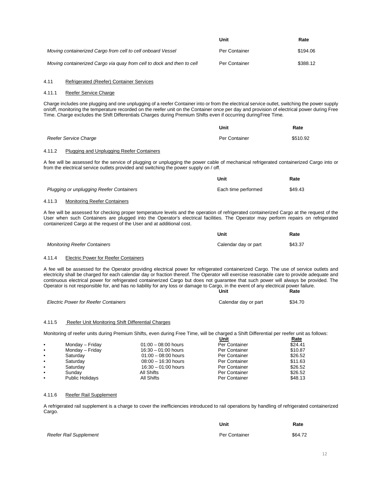|                                                                        | Unit          | Rate     |
|------------------------------------------------------------------------|---------------|----------|
| Moving containerized Cargo from cell to cell onboard Vessel            | Per Container | \$194.06 |
| Moving containerized Cargo via guay from cell to dock and then to cell | Per Container | \$388.12 |

#### 4.11 Refrigerated (Reefer) Container Services

### 4.11.1 Reefer Service Charge

Charge includes one plugging and one unplugging of a reefer Container into or from the electrical service outlet, switching the power supply on/off, monitoring the temperature recorded on the reefer unit on the Container once per day and provision of electrical power during Free Time. Charge excludes the Shift Differentials Charges during Premium Shifts even if occurring duringFree Time.

|                       | Unit          | Rate     |
|-----------------------|---------------|----------|
| Reefer Service Charge | Per Container | \$510.92 |

#### 4.11.2 Plugging and Unplugging Reefer Containers

A fee will be assessed for the service of plugging or unplugging the power cable of mechanical refrigerated containerized Cargo into or from the electrical service outlets provided and switching the power supply on / off.

**Unit**

|                                          | Unit                | Rate    |
|------------------------------------------|---------------------|---------|
| Plugging or unplugging Reefer Containers | Each time performed | \$49.43 |
| _ _ _ _                                  |                     |         |

#### 4.11.3 Monitoring Reefer Containers

A fee will be assessed for checking proper temperature levels and the operation of refrigerated containerized Cargo at the request of the User when such Containers are plugged into the Operator's electrical facilities. The Operator may perform repairs on refrigerated containerized Cargo at the request of the User and at additional cost.

|                                     | Unit                 | Rate    |
|-------------------------------------|----------------------|---------|
| <b>Monitoring Reefer Containers</b> | Calendar day or part | \$43.37 |

#### 4.11.4 Electric Power for Reefer Containers

A fee will be assessed for the Operator providing electrical power for refrigerated containerized Cargo. The use of service outlets and electricity shall be charged for each calendar day or fraction thereof. The Operator will exercise reasonable care to provide adequate and continuous electrical power for refrigerated containerized Cargo but does not guarantee that such power will always be provided. The Operator is not responsible for, and has no liability for any loss or damage to Cargo, in the event of any electrical power failure. **Unit Rate**

| <b>Electric Power for Reefer Containers</b> | Calendar day or part | \$34.70 |
|---------------------------------------------|----------------------|---------|
|                                             |                      |         |

#### 4.11.5 Reefer Unit Monitoring Shift Differential Charges

Monitoring of reefer units during Premium Shifts, even during Free Time, will be charged a Shift Differential per reefer unit as follows:

|           |                        |                       | Unit          | <u>Rate</u> |
|-----------|------------------------|-----------------------|---------------|-------------|
| $\bullet$ | Monday - Friday        | $01:00 - 08:00$ hours | Per Container | \$24.41     |
| $\bullet$ | Monday - Friday        | $16.30 - 01.00$ hours | Per Container | \$10.87     |
| $\bullet$ | Saturday               | $01:00 - 08:00$ hours | Per Container | \$26.52     |
| $\bullet$ | Saturday               | $08:00 - 16:30$ hours | Per Container | \$11.63     |
| $\bullet$ | Saturday               | $16:30 - 01:00$ hours | Per Container | \$26.52     |
|           | Sundav                 | All Shifts            | Per Container | \$26.52     |
|           | <b>Public Holidays</b> | All Shifts            | Per Container | \$48.13     |

#### 4.11.6 Reefer Rail Supplement

A refrigerated rail supplement is a charge to cover the inefficiencies introduced to rail operations by handling of refrigerated containerized Cargo.

|                        | Unit          | Rate    |
|------------------------|---------------|---------|
| Reefer Rail Supplement | Per Container | \$64.72 |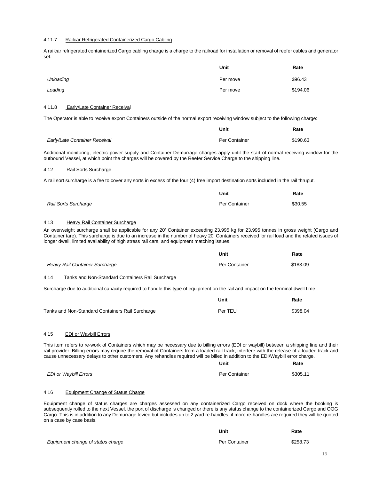#### 4.11.7 Railcar Refrigerated Containerized Cargo Cabling

A railcar refrigerated containerized Cargo cabling charge is a charge to the railroad for installation or removal of reefer cables and generator set.

|           | Unit     | Rate     |
|-----------|----------|----------|
| Unloading | Per move | \$96.43  |
| Loading   | Per move | \$194.06 |

#### 4.11.8 Early/Late Container Receival

The Operator is able to receive export Containers outside of the normal export receiving window subject to the following charge:

|                               | Unit          | Rate     |
|-------------------------------|---------------|----------|
| Early/Late Container Receival | Per Container | \$190.63 |

Additional monitoring, electric power supply and Container Demurrage charges apply until the start of normal receiving window for the outbound Vessel, at which point the charges will be covered by the Reefer Service Charge to the shipping line.

# 4.12 Rail Sorts Surcharge

A rail sort surcharge is a fee to cover any sorts in excess of the four (4) free import destination sorts included in the rail thruput.

|                      | Unit          | Rate    |
|----------------------|---------------|---------|
| Rail Sorts Surcharge | Per Container | \$30.55 |

## 4.13 Heavy Rail Container Surcharge

An overweight surcharge shall be applicable for any 20' Container exceeding 23,995 kg for 23.995 tonnes in gross weight (Cargo and Container tare). This surcharge is due to an increase in the number of heavy 20' Containers received for rail load and the related issues of longer dwell, limited availability of high stress rail cars, and equipment matching issues.

|                                                          | Unit          | Rate     |
|----------------------------------------------------------|---------------|----------|
| Heavy Rail Container Surcharge                           | Per Container | \$183.09 |
| 4.14<br>Tanks and Non-Standard Containers Rail Surcharge |               |          |

Surcharge due to additional capacity required to handle this type of equipment on the rail and impact on the terminal dwell time

|                                                  | Unit    | Rate     |
|--------------------------------------------------|---------|----------|
| Tanks and Non-Standard Containers Rail Surcharge | Per TEU | \$398.04 |

#### 4.15 EDI or Waybill Errors

This item refers to re-work of Containers which may be necessary due to billing errors (EDI or waybill) between a shipping line and their rail provider. Billing errors may require the removal of Containers from a loaded rail track, interfere with the release of a loaded track and cause unnecessary delays to other customers. Any rehandles required will be billed in addition to the EDI/Waybill error charge.

|                              | Unit          | Rate     |
|------------------------------|---------------|----------|
| <b>EDI or Waybill Errors</b> | Per Container | \$305.11 |

#### 4.16 Equipment Change of Status Charge

Equipment change of status charges are charges assessed on any containerized Cargo received on dock where the booking is subsequently rolled to the next Vessel, the port of discharge is changed or there is any status change to the containerized Cargo and OOG Cargo. This is in addition to any Demurrage levied but includes up to 2 yard re-handles, if more re-handles are required they will be quoted on a case by case basis.

|                                   | Unit          | Rate     |
|-----------------------------------|---------------|----------|
| Equipment change of status charge | Per Container | \$258.73 |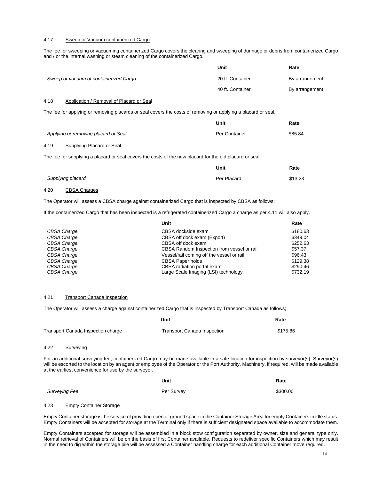#### 4.17 Sweep or Vacuum containerized Cargo

The fee for sweeping or vacuuming containerized Cargo covers the clearing and sweeping of dunnage or debris from containerized Cargo and / or the internal washing or steam cleaning of the containerized Cargo.

|                                        | Unit             | Rate           |
|----------------------------------------|------------------|----------------|
| Sweep or vacuum of containerized Cargo | 20 ft. Container | By arrangement |
|                                        | 40 ft. Container | By arrangement |

# 4.18 Application / Removal of Placard or Seal

The fee for applying or removing placards or seal covers the costs of removing or applying a placard or seal.

|                                      | Unit          | Rate    |
|--------------------------------------|---------------|---------|
| Applying or removing placard or Seal | Per Container | \$85.84 |

# 4.19 Supplying Placard or Seal

The fee for supplying a placard or seal covers the costs of the new placard for the old placard or seal.

|                   | Unit        | Rate    |
|-------------------|-------------|---------|
| Supplying placard | Per Placard | \$13.23 |

# 4.20 CBSA Charges

The Operator will assess a CBSA charge against containerized Cargo that is inspected by CBSA as follows;

If the containerized Cargo that has been inspected is a refrigerated containerized Cargo a charge as per 4.11 will also apply.

|                    | Unit                                       | Rate     |
|--------------------|--------------------------------------------|----------|
| CBSA Charge        | CBSA dockside exam                         | \$180.63 |
| CBSA Charge        | CBSA off dock exam (Export)                | \$349.04 |
| CBSA Charge        | CBSA off dock exam                         | \$252.63 |
| CBSA Charge        | CBSA Random Inspection from vessel or rail | \$57.37  |
| CBSA Charge        | Vessel/rail coming off the vessel or rail  | \$96.43  |
| <b>CBSA Charge</b> | <b>CBSA Paper holds</b>                    | \$129.38 |
| CBSA Charge        | CBSA radiation portal exam                 | \$290.46 |
| <b>CBSA Charge</b> | Large Scale Imaging (LSI) technology       | \$732.19 |

#### 4.21 Transport Canada Inspection

The Operator will assess a charge against containerized Cargo that is inspected by Transport Canada as follows;

|      |                                           | Unit                               | Rate     |
|------|-------------------------------------------|------------------------------------|----------|
|      | <b>Transport Canada Inspection charge</b> | <b>Transport Canada Inspection</b> | \$175.86 |
| 4.22 | Surveying                                 |                                    |          |

For an additional surveying fee, containerized Cargo may be made available in a safe location for inspection by surveyor(s). Surveyor(s) will be escorted to the location by an agent or employee of the Operator or the Port Authority. Machinery, if required, will be made available at the earliest convenience for use by the surveyor.

|               | Unit       | Rate     |
|---------------|------------|----------|
| Surveying Fee | Per Survey | \$300.00 |

**Unit**

#### 4.23 Empty Container Storage

Empty Container storage is the service of providing open or ground space in the Container Storage Area for empty Containers in idle status. Empty Containers will be accepted for storage at the Terminal only if there is sufficient designated space available to accommodate them.

Empty Containers accepted for storage will be assembled in a block stow configuration separated by owner, size and general type only. Normal retrieval of Containers will be on the basis of first Container available. Requests to redeliver specific Containers which may result in the need to dig within the storage pile will be assessed a Container handling charge for each additional Container move required.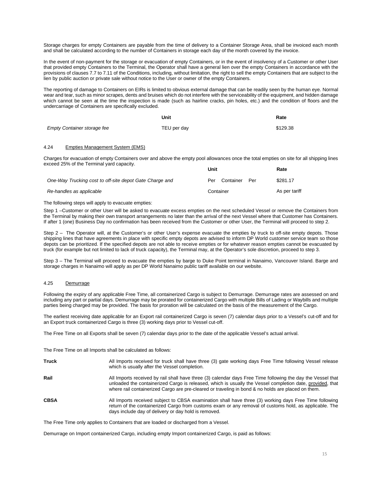Storage charges for empty Containers are payable from the time of delivery to a Container Storage Area, shall be invoiced each month and shall be calculated according to the number of Containers in storage each day of the month covered by the invoice.

In the event of non-payment for the storage or evacuation of empty Containers, or in the event of insolvency of a Customer or other User that provided empty Containers to the Terminal, the Operator shall have a general lien over the empty Containers in accordance with the provisions of clauses 7.7 to 7.11 of the Conditions, including, without limitation, the right to sell the empty Containers that are subject to the lien by public auction or private sale without notice to the User or owner of the empty Containers.

The reporting of damage to Containers on EIRs is limited to obvious external damage that can be readily seen by the human eye. Normal wear and tear, such as minor scrapes, dents and bruises which do not interfere with the serviceability of the equipment, and hidden damage which cannot be seen at the time the inspection is made (such as hairline cracks, pin holes, etc.) and the condition of floors and the undercarriage of Containers are specifically excluded.

|                                    | Unit        | Rate     |
|------------------------------------|-------------|----------|
| <b>Empty Container storage fee</b> | TEU per day | \$129.38 |

#### 4.24 Empties Management System (EMS)

Charges for evacuation of empty Containers over and above the empty pool allowances once the total empties on site for all shipping lines exceed 25% of the Terminal yard capacity. **Unit Rate**

|                                                         | -----                | .             |
|---------------------------------------------------------|----------------------|---------------|
| One-Way Trucking cost to off-site depot Gate Charge and | Container Per<br>Per | \$281.17      |
| Re-handles as applicable                                | Container            | As per tariff |

The following steps will apply to evacuate empties:

Step 1 –Customer or other User will be asked to evacuate excess empties on the next scheduled Vessel or remove the Containers from the Terminal by making their own transport arrangements no later than the arrival of the next Vessel where that Customer has Containers. If after 1 (one) Business Day no confirmation has been received from the Customer or other User, the Terminal will proceed to step 2.

Step 2 – The Operator will, at the Customer's or other User's expense evacuate the empties by truck to off-site empty depots. Those shipping lines that have agreements in place with specific empty depots are advised to inform DP World customer service team so those depots can be prioritized. If the specified depots are not able to receive empties or for whatever reason empties cannot be evacuated by truck (for example but not limited to lack of truck capacity), the Terminal may, at the Operator's sole discretion, proceed to step 3.

Step 3 – The Terminal will proceed to evacuate the empties by barge to Duke Point terminal in Nanaimo, Vancouver Island. Barge and storage charges in Nanaimo will apply as per DP World Nanaimo public tariff available on our website.

### 4.25 Demurrage

Following the expiry of any applicable Free Time, all containerized Cargo is subject to Demurrage. Demurrage rates are assessed on and including any part or partial days. Demurrage may be prorated for containerized Cargo with multiple Bills of Lading or Waybills and multiple parties being charged may be provided. The basis for proration will be calculated on the basis of the measurement of the Cargo.

The earliest receiving date applicable for an Export rail containerized Cargo is seven (7) calendar days prior to a Vessel's cut-off and for an Export truck containerized Cargo is three (3) working days prior to Vessel cut-off.

The Free Time on all Exports shall be seven (7) calendar days prior to the date of the applicable Vessel's actual arrival.

The Free Time on all Imports shall be calculated as follows:

| <b>Truck</b> | All Imports received for truck shall have three (3) gate working days Free Time following Vessel release<br>which is usually after the Vessel completion.                                                                                                                                                                      |
|--------------|--------------------------------------------------------------------------------------------------------------------------------------------------------------------------------------------------------------------------------------------------------------------------------------------------------------------------------|
| Rail         | All Imports received by rail shall have three (3) calendar days Free Time following the day the Vessel that<br>unloaded the containerized Cargo is released, which is usually the Vessel completion date, provided, that<br>where rail containerized Cargo are pre-cleared or traveling in bond & no holds are placed on them. |
| <b>CBSA</b>  | All Imports received subject to CBSA examination shall have three (3) working days Free Time following<br>return of the containerized Cargo from customs exam or any removal of customs hold, as applicable. The<br>days include day of delivery or day hold is removed.                                                       |

The Free Time only applies to Containers that are loaded or discharged from a Vessel.

Demurrage on Import containerized Cargo, including empty Import containerized Cargo, is paid as follows: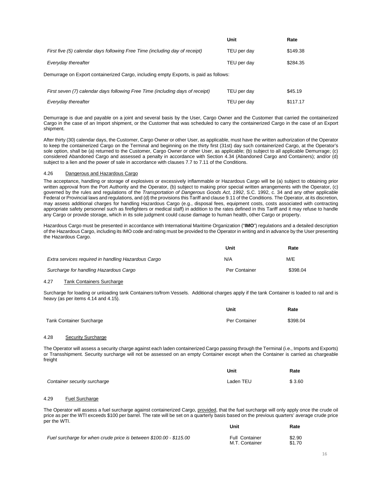|                                                                                       | Unit        | Rate     |
|---------------------------------------------------------------------------------------|-------------|----------|
| First five (5) calendar days following Free Time (including day of receipt)           | TEU per day | \$149.38 |
| Everyday thereafter                                                                   | TEU per day | \$284.35 |
| Demurrage on Export containerized Cargo, including empty Exports, is paid as follows: |             |          |
| First seven (7) calendar days following Free Time (including days of receipt)         | TEU per day | \$45.19  |
| Everyday thereafter                                                                   | TEU per day | \$117.17 |

Demurrage is due and payable on a joint and several basis by the User, Cargo Owner and the Customer that carried the containerized Cargo in the case of an Import shipment, or the Customer that was scheduled to carry the containerized Cargo in the case of an Export shipment.

After thirty (30) calendar days, the Customer, Cargo Owner or other User, as applicable, must have the written authorization of the Operator to keep the containerized Cargo on the Terminal and beginning on the thirty first (31st) day such containerized Cargo, at the Operator's sole option, shall be (a) returned to the Customer, Cargo Owner or other User, as applicable; (b) subject to all applicable Demurrage; (c) considered Abandoned Cargo and assessed a penalty in accordance with Section 4.34 (Abandoned Cargo and Containers); and/or (d) subject to a lien and the power of sale in accordance with clauses 7.7 to 7.11 of the Conditions.

#### 4.26 Dangerous and Hazardous Cargo

The acceptance, handling or storage of explosives or excessively inflammable or Hazardous Cargo will be (a) subject to obtaining prior written approval from the Port Authority and the Operator, (b) subject to making prior special written arrangements with the Operator, (c) governed by the rules and regulations of the *Transportation of Dangerous Goods Act, 1992*, S.C. 1992, c. 34 and any other applicable Federal or Provincial laws and regulations, and (d) the provisions this Tariff and clause 9.11 of the Conditions. The Operator, at its discretion, may assess additional charges for handling Hazardous Cargo (e.g., disposal fees, equipment costs, costs associated with contracting appropriate safety personnel such as firefighters or medical staff) in addition to the rates defined in this Tariff and it may refuse to handle any Cargo or provide storage, which in its sole judgment could cause damage to human health, other Cargo or property.

Hazardous Cargo must be presented in accordance with International Maritime Organization ("**IMO**") regulations and a detailed description of the Hazardous Cargo, including its IMO code and rating must be provided to the Operator in writing and in advance by the User presenting the Hazardous Cargo.

|                                                     | Unit          | Rate     |
|-----------------------------------------------------|---------------|----------|
| Extra services required in handling Hazardous Cargo | N/A           | M/E      |
| Surcharge for handling Hazardous Cargo              | Per Container | \$398.04 |

#### 4.27 Tank Containers Surcharge

Surcharge for loading or unloading tank Containers to/from Vessels. Additional charges apply if the tank Container is loaded to rail and is heavy (as per items 4.14 and 4.15).

|                                 | Unit          | Rate     |
|---------------------------------|---------------|----------|
| <b>Tank Container Surcharge</b> | Per Container | \$398.04 |

#### 4.28 Security Surcharge

The Operator will assess a security charge against each laden containerized Cargo passing through the Terminal (i.e., Imports and Exports) or Transshipment. Security surcharge will not be assessed on an empty Container except when the Container is carried as chargeable freight

|                              | Unit      | Rate   |
|------------------------------|-----------|--------|
| Container security surcharge | Laden TEU | \$3.60 |

#### 4.29 Fuel Surcharge

The Operator will assess a fuel surcharge against containerized Cargo, provided, that the fuel surcharge will only apply once the crude oil price as per the WTI exceeds \$100 per barrel. The rate will be set on a quarterly basis based on the previous quarters' average crude price per the WTI. **Unit Rate**

| Fuel surcharge for when crude price is between \$100.00 - \$115.00 | <b>Full Container</b> | \$2.90 |
|--------------------------------------------------------------------|-----------------------|--------|
|                                                                    | M.T. Container        | \$1.70 |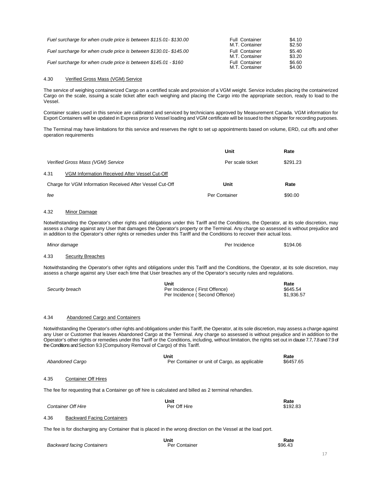| Fuel surcharge for when crude price is between \$115.01-\$130.00 | <b>Full Container</b><br>M.T. Container | \$4.10<br>\$2.50 |
|------------------------------------------------------------------|-----------------------------------------|------------------|
| Fuel surcharge for when crude price is between \$130.01-\$145.00 | <b>Full Container</b><br>M.T. Container | \$5.40<br>\$3.20 |
| Fuel surcharge for when crude price is between \$145.01 - \$160  | <b>Full Container</b><br>M.T. Container | \$6.60<br>\$4.00 |

# 4.30 Verified Gross Mass (VGM) Service

The service of weighing containerized Cargo on a certified scale and provision of a VGM weight. Service includes placing the containerized Cargo on the scale, issuing a scale ticket after each weighing and placing the Cargo into the appropriate section, ready to load to the Vessel.

Container scales used in this service are calibrated and serviced by technicians approved by Measurement Canada. VGM information for Export Containers will be updated in Express prior to Vessel loading and VGM certificate will be issued to the shipper for recording purposes.

The Terminal may have limitations for this service and reserves the right to set up appointments based on volume, ERD, cut offs and other operation requirements

|                                    |                                                                                                                                                                                                                                                                                                                                                                                                                                                                                                                                      | Unit                                          | Rate                           |
|------------------------------------|--------------------------------------------------------------------------------------------------------------------------------------------------------------------------------------------------------------------------------------------------------------------------------------------------------------------------------------------------------------------------------------------------------------------------------------------------------------------------------------------------------------------------------------|-----------------------------------------------|--------------------------------|
| Verified Gross Mass (VGM) Service  |                                                                                                                                                                                                                                                                                                                                                                                                                                                                                                                                      | Per scale ticket                              | \$291.23                       |
| 4.31                               | VGM Information Received After Vessel Cut-Off                                                                                                                                                                                                                                                                                                                                                                                                                                                                                        |                                               |                                |
|                                    | Charge for VGM Information Received After Vessel Cut-Off                                                                                                                                                                                                                                                                                                                                                                                                                                                                             | Unit                                          | Rate                           |
| fee                                |                                                                                                                                                                                                                                                                                                                                                                                                                                                                                                                                      | Per Container                                 | \$90.00                        |
| 4.32<br>Minor Damage               |                                                                                                                                                                                                                                                                                                                                                                                                                                                                                                                                      |                                               |                                |
|                                    | Notwithstanding the Operator's other rights and obligations under this Tariff and the Conditions, the Operator, at its sole discretion, may<br>assess a charge against any User that damages the Operator's property or the Terminal. Any charge so assessed is without prejudice and<br>in addition to the Operator's other rights or remedies under this Tariff and the Conditions to recover their actual loss.                                                                                                                   |                                               |                                |
| Minor damage                       |                                                                                                                                                                                                                                                                                                                                                                                                                                                                                                                                      | Per Incidence                                 | \$194.06                       |
| 4.33<br><b>Security Breaches</b>   |                                                                                                                                                                                                                                                                                                                                                                                                                                                                                                                                      |                                               |                                |
|                                    | Notwithstanding the Operator's other rights and obligations under this Tariff and the Conditions, the Operator, at its sole discretion, may<br>assess a charge against any User each time that User breaches any of the Operator's security rules and regulations.                                                                                                                                                                                                                                                                   |                                               |                                |
| Security breach                    | Unit<br>Per Incidence (First Offence)                                                                                                                                                                                                                                                                                                                                                                                                                                                                                                | Per Incidence (Second Offence)                | Rate<br>\$645.54<br>\$1,936.57 |
| 4.34                               | Abandoned Cargo and Containers                                                                                                                                                                                                                                                                                                                                                                                                                                                                                                       |                                               |                                |
|                                    | Notwithstanding the Operator's other rights and obligations under this Tariff, the Operator, at its sole discretion, may assess a charge against<br>any User or Customer that leaves Abandoned Cargo at the Terminal. Any charge so assessed is without prejudice and in addition to the<br>Operator's other rights or remedies under this Tariff or the Conditions, including, without limitation, the rights set out in clause 7.7, 7.8 and 7.9 of<br>the Conditions and Section 9.3 (Compulsory Removal of Cargo) of this Tariff. |                                               |                                |
| Abandoned Cargo                    | Unit                                                                                                                                                                                                                                                                                                                                                                                                                                                                                                                                 | Per Container or unit of Cargo, as applicable | Rate<br>\$6457.65              |
| 4.35<br><b>Container Off Hires</b> |                                                                                                                                                                                                                                                                                                                                                                                                                                                                                                                                      |                                               |                                |
|                                    | The fee for requesting that a Container go off hire is calculated and billed as 2 terminal rehandles.                                                                                                                                                                                                                                                                                                                                                                                                                                |                                               |                                |
| <b>Container Off Hire</b>          | Unit<br>Per Off Hire                                                                                                                                                                                                                                                                                                                                                                                                                                                                                                                 |                                               | Rate<br>\$192.83               |
| 4.36                               | <b>Backward Facing Containers</b>                                                                                                                                                                                                                                                                                                                                                                                                                                                                                                    |                                               |                                |

The fee is for discharging any Container that is placed in the wrong direction on the Vessel at the load port.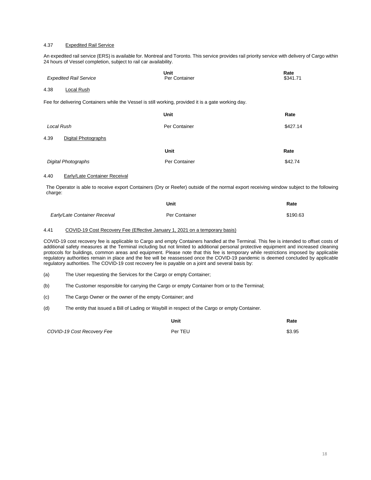#### 4.37 Expedited Rail Service

An expedited rail service (ERS) is available for. Montreal and Toronto. This service provides rail priority service with delivery of Cargo within 24 hours of Vessel completion, subject to rail car availability.

| <b>Expedited Rail Service</b>                                                                       | Unit<br>Per Container | Rate<br>\$341.71 |
|-----------------------------------------------------------------------------------------------------|-----------------------|------------------|
| Local Rush<br>4.38                                                                                  |                       |                  |
| Fee for delivering Containers while the Vessel is still working, provided it is a gate working day. |                       |                  |
|                                                                                                     | Unit                  | Rate             |
| Local Rush                                                                                          | Per Container         | \$427.14         |
| 4.39<br><b>Digital Photographs</b>                                                                  |                       |                  |
|                                                                                                     | <b>Unit</b>           | Rate             |
| <b>Digital Photographs</b>                                                                          | Per Container         | \$42.74          |

#### 4.40 Early/Late Container Receival

The Operator is able to receive export Containers (Dry or Reefer) outside of the normal export receiving window subject to the following charge:

|                               | Unit          | Rate     |
|-------------------------------|---------------|----------|
| Early/Late Container Receival | Per Container | \$190.63 |

# 4.41 COVID-19 Cost Recovery Fee (Effective January 1, 2021 on a temporary basis)

COVID-19 cost recovery fee is applicable to Cargo and empty Containers handled at the Terminal. This fee is intended to offset costs of additional safety measures at the Terminal including but not limited to additional personal protective equipment and increased cleaning protocols for buildings, common areas and equipment. Please note that this fee is temporary while restrictions imposed by applicable regulatory authorities remain in place and the fee will be reassessed once the COVID-19 pandemic is deemed concluded by applicable regulatory authorities. The COVID-19 cost recovery fee is payable on a joint and several basis by:

- (a) The User requesting the Services for the Cargo or empty Container;
- (b) The Customer responsible for carrying the Cargo or empty Container from or to the Terminal;
- (c) The Cargo Owner or the owner of the empty Container; and
- (d) The entity that issued a Bill of Lading or Waybill in respect of the Cargo or empty Container.

|                            | Unit    | Rate   |
|----------------------------|---------|--------|
| COVID-19 Cost Recovery Fee | Per TEU | \$3.95 |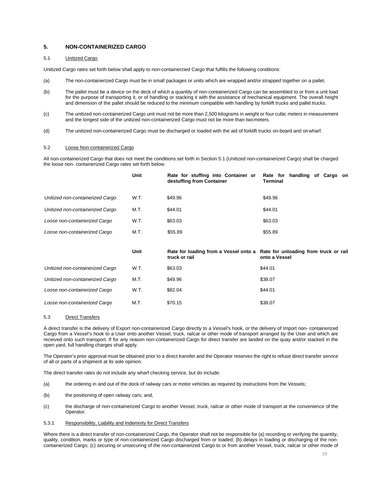# <span id="page-18-0"></span>**5. NON-CONTAINERIZED CARGO**

#### 5.1 Unitized Cargo

Unitized Cargo rates set forth below shall apply to non-containerzied Cargo that fulfills the following conditions:

- (a) The non-containerized Cargo must be in small packages or units which are wrapped and/or strapped together on a pallet.
- (b) The pallet must be a device on the deck of which a quantity of non-containerized Cargo can be assembled to or from a unit load for the purpose of transporting it, or of handling or stacking it with the assistance of mechanical equipment. The overall height and dimension of the pallet should be reduced to the minimum compatible with handling by forklift trucks and pallet trucks.
- (c) The unitized non-containerized Cargo unit must not be more than 2,500 kilograms in weight or four cubic meters in measurement and the longest side of the unitized non-containerized Cargo must not be more than twometers.
- (d) The unitized non-containerized Cargo must be discharged or loaded with the aid of forklift trucks on-board and on wharf.

## 5.2 Loose Non-containerized Cargo

All non-containerized Cargo that does not meet the conditions set forth in Section 5.1 (Unitized non-containerized Cargo) shall be charged the loose non- containerized Cargo rates set forth below.

|                                  | Unit | Rate for stuffing into Container or<br>destuffing from Container                             | handling of Cargo on<br>Rate for<br><b>Terminal</b> |
|----------------------------------|------|----------------------------------------------------------------------------------------------|-----------------------------------------------------|
| Unitized non-containerized Cargo | W.T. | \$49.96                                                                                      | \$49.96                                             |
| Unitized non-containerized Cargo | M.T. | \$44.01                                                                                      | \$44.01                                             |
| Loose non-containerized Cargo    | W.T. | \$63.03                                                                                      | \$63.03                                             |
| Loose non-containerized Cargo    | M.T. | \$55.89                                                                                      | \$55.89                                             |
|                                  |      |                                                                                              |                                                     |
|                                  | Unit | Rate for loading from a Vessel onto a Rate for unloading from truck or rail<br>truck or rail | onto a Vessel                                       |
| Unitized non-containerized Cargo | W.T. | \$63.03                                                                                      | \$44.01                                             |
| Unitized non-containerized Cargo | M.T. | \$49.96                                                                                      | \$38.07                                             |
| Loose non-containerized Cargo    | W.T. | \$82.04                                                                                      | \$44.01                                             |

## 5.3 Direct Transfers

A direct transfer is the delivery of Export non-containerized Cargo directly to a Vessel's hook, or the delivery of Import non- containerized Cargo from a Vessel's hook to a User onto another Vessel, truck, railcar or other mode of transport arranged by the User and which are received onto such transport. If for any reason non-containerized Cargo for direct transfer are landed on the quay and/or stacked in the open yard, full handling charges shall apply.

The Operator's prior approval must be obtained prior to a direct transfer and the Operator reserves the right to refuse direct transfer service of all or parts of a shipment at its sole opinion.

The direct transfer rates do not include any wharf checking service, but do include:

- (a) the ordering in and out of the dock of railway cars or motor vehicles as required by instructions from the Vessels;
- (b) the positioning of open railway cars; and,
- (c) the discharge of non-containerized Cargo to another Vessel, truck, railcar or other mode of transport at the convenience of the Operator.
- 5.3.1 Responsibility, Liability and Indemnity for Direct Transfers

Where there is a direct transfer of non-containerized Cargo, the Operator shall not be responsible for (a) recording or verifying the quantity, quality, condition, marks or type of non-containerized Cargo discharged from or loaded; (b) delays in loading or discharging of the noncontainerized Cargo; (c) securing or unsecuring of the non-containerized Cargo to or from another Vessel, truck, railcar or other mode of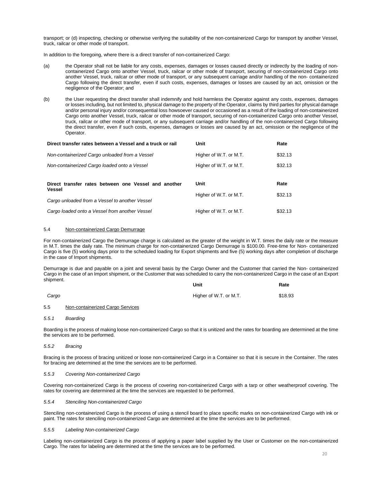transport; or (d) inspecting, checking or otherwise verifying the suitability of the non-containerized Cargo for transport by another Vessel, truck, railcar or other mode of transport.

In addition to the foregoing, where there is a direct transfer of non-containerized Cargo:

- (a) the Operator shall not be liable for any costs, expenses, damages or losses caused directly or indirectly by the loading of noncontainerized Cargo onto another Vessel, truck, railcar or other mode of transport, securing of non-containerized Cargo onto another Vessel, truck, railcar or other mode of transport, or any subsequent carriage and/or handling of the non- containerized Cargo following the direct transfer, even if such costs, expenses, damages or losses are caused by an act, omission or the negligence of the Operator; and
- (b) the User requesting the direct transfer shall indemnify and hold harmless the Operator against any costs, expenses, damages or losses including, but not limited to, physical damage to the property of the Operator, claims by third parties for physical damage and/or personal injury and/or consequential loss howsoever caused or occasioned as a result of the loading of non-containerized Cargo onto another Vessel, truck, railcar or other mode of transport, securing of non-containerized Cargo onto another Vessel, truck, railcar or other mode of transport, or any subsequent carriage and/or handling of the non-containerized Cargo following the direct transfer, even if such costs, expenses, damages or losses are caused by an act, omission or the negligence of the Operator.

| Direct transfer rates between a Vessel and a truck or rail            | Unit                   | Rate    |
|-----------------------------------------------------------------------|------------------------|---------|
| Non-containerized Cargo unloaded from a Vessel                        | Higher of W.T. or M.T. | \$32.13 |
| Non-containerized Cargo loaded onto a Vessel                          | Higher of W.T. or M.T. | \$32.13 |
| Direct transfer rates between one Vessel and another<br><b>Vessel</b> | Unit                   | Rate    |
| Cargo unloaded from a Vessel to another Vessel                        | Higher of W.T. or M.T. | \$32.13 |
| Cargo loaded onto a Vessel from another Vessel                        | Higher of W.T. or M.T. | \$32.13 |

#### 5.4 Non-containerized Cargo Demurrage

For non-containerized Cargo the Demurrage charge is calculated as the greater of the weight in W.T. times the daily rate or the measure in M.T. times the daily rate. The minimum charge for non-containerized Cargo Demurrage is \$100.00. Free-time for Non- containerized Cargo is five (5) working days prior to the scheduled loading for Export shipments and five (5) working days after completion of discharge in the case of Import shipments.

Demurrage is due and payable on a joint and several basis by the Cargo Owner and the Customer that carried the Non- containerized Cargo in the case of an Import shipment, or the Customer that was scheduled to carry the non-containerized Cargo in the case of an Export shipment. **Unit**

| Cargo | Higher of W.T. or M.T. | \$18.93 |
|-------|------------------------|---------|

## 5.5 Non-containerized Cargo Services

*5.5.1 Boarding*

Boarding is the process of making loose non-containerized Cargo so that it is unitized and the rates for boarding are determined at the time the services are to be performed.

#### *5.5.2 Bracing*

Bracing is the process of bracing unitized or loose non-containerized Cargo in a Container so that it is secure in the Container. The rates for bracing are determined at the time the services are to be performed.

#### *5.5.3 Covering Non-containerized Cargo*

Covering non-containerized Cargo is the process of covering non-containerized Cargo with a tarp or other weatherproof covering. The rates for covering are determined at the time the services are requested to be performed.

#### *5.5.4 Stenciling Non-containerized Cargo*

Stenciling non-containerized Cargo is the process of using a stencil board to place specific marks on non-containerized Cargo with ink or paint. The rates for stenciling non-containerized Cargo are determined at the time the services are to be performed.

#### *5.5.5 Labeling Non-containerized Cargo*

Labeling non-containerized Cargo is the process of applying a paper label supplied by the User or Customer on the non-containerized Cargo. The rates for labeling are determined at the time the services are to be performed.

**Rate**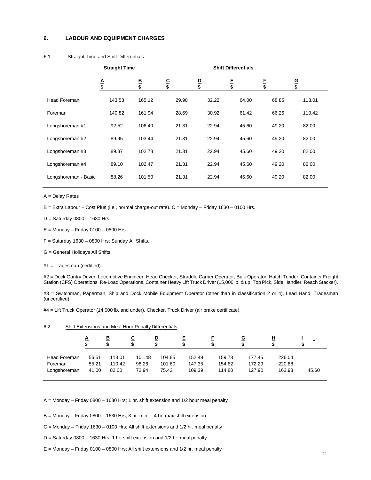## <span id="page-20-0"></span>**6. LABOUR AND EQUIPMENT CHARGES**

# 6.1 Straight Time and Shift Differentials

|                      | <b>Straight Time</b> |         |                | <b>Shift Differentials</b> |         |         |                      |  |
|----------------------|----------------------|---------|----------------|----------------------------|---------|---------|----------------------|--|
|                      | A<br>\$              | B<br>\$ | <u>c</u><br>\$ | $\frac{D}{\$}$             | E<br>\$ | E<br>\$ | $\overline{G}$<br>\$ |  |
| <b>Head Foreman</b>  | 143.58               | 165.12  | 29.98          | 32.22                      | 64.00   | 68.85   | 113.01               |  |
| Foreman              | 140.82               | 161.94  | 28.69          | 30.92                      | 61.42   | 66.26   | 110.42               |  |
| Longshoreman #1      | 92.52                | 106.40  | 21.31          | 22.94                      | 45.60   | 49.20   | 82.00                |  |
| Longshoreman #2      | 89.95                | 103.44  | 21.31          | 22.94                      | 45.60   | 49.20   | 82.00                |  |
| Longshoreman #3      | 89.37                | 102.78  | 21.31          | 22.94                      | 45.60   | 49.20   | 82.00                |  |
| Longshoreman #4      | 89.10                | 102.47  | 21.31          | 22.94                      | 45.60   | 49.20   | 82.00                |  |
| Longshoreman - Basic | 88.26                | 101.50  | 21.31          | 22.94                      | 45.60   | 49.20   | 82.00                |  |

A = Delay Rates

B = Extra Labour – Cost Plus (i.e., normal charge-out rate). C = Monday – Friday 1630 – 0100 Hrs.

 $D =$  Saturday 0800 - 1630 Hrs.

 $E =$  Monday – Friday 0100 – 0800 Hrs.

- $F =$  Saturday 1630 0800 Hrs; Sunday All Shifts.
- G = General Holidays All Shifts
- #1 = Tradesman (certified).

#2 = Dock Gantry Driver, Locomotive Engineer, Head Checker, Straddle Carrier Operator, Bulk Operator, Hatch Tender, Container Freight Station (CFS) Operations, Re-Load Operations, Container Heavy Lift Truck Driver (15,000 lb. & up, Top Pick, Side Handler, Reach Stacker).

#3 = Switchman, Paperman, Ship and Dock Mobile Equipment Operator (other than in classification 2 or 4), Lead Hand, Tradesman (uncertified).

#4 = Lift Truck Operator (14,000 lb. and under), Checker, Truck Driver (air brake certificate).

| ◬            |       | <u>B</u> | С      | <u>D</u> | Ε      |        | <u>G</u> | <u>ዘ</u> |       |
|--------------|-------|----------|--------|----------|--------|--------|----------|----------|-------|
| Head Foreman | 56.51 | 113.01   | 101.48 | 104.85   | 152.49 | 159.78 | 177.45   | 226.04   | 45.60 |
| Foreman      | 55.21 | 110.42   | 98.26  | 101.60   | 147.35 | 154.62 | 172.29   | 220.88   |       |
| Longshoreman | 41.00 | 82.00    | 72.94  | 75.43    | 109.39 | 114.80 | 127.90   | 163.98   |       |

# 6.2 Shift Extensions and Meal Hour Penalty Differentials

A = Monday – Friday 0800 – 1630 Hrs; 1 hr. shift extension and 1/2 hour meal penalty

- $B =$  Monday Friday 0800 1630 Hrs; 3 hr. min. 4 hr. max shift extension
- C = Monday Friday 1630 0100 Hrs; All shift extensions and 1/2 hr. meal penalty
- D = Saturday 0800 1630 Hrs; 1 hr. shift extension and 1/2 hr. meal penalty
- E = Monday Friday 0100 0800 Hrs; All shift extensions and 1/2 hr. meal penalty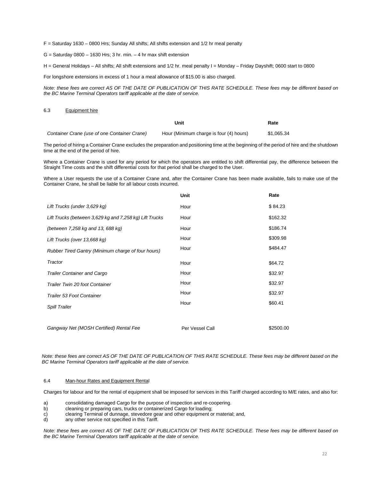F = Saturday 1630 – 0800 Hrs; Sunday All shifts; All shifts extension and 1/2 hr meal penalty

 $G =$  Saturday 0800 – 1630 Hrs; 3 hr. min. – 4 hr max shift extension

H = General Holidays – All shifts; All shift extensions and 1/2 hr. meal penalty I = Monday – Friday Dayshift; 0600 start to 0800

For longshore extensions in excess of 1 hour a meal allowance of \$15.00 is also charged.

*Note: these fees are correct AS OF THE DATE OF PUBLICATION OF THIS RATE SCHEDULE. These fees may be different based on the BC Marine Terminal Operators tariff applicable at the date of service.*

### 6.3 Equipment hire

|                                              | Unit                                    | Rate       |
|----------------------------------------------|-----------------------------------------|------------|
| Container Crane (use of one Container Crane) | Hour (Minimum charge is four (4) hours) | \$1.065.34 |

The period of hiring a Container Crane excludes the preparation and positioning time at the beginning of the period of hire and the shutdown time at the end of the period of hire.

Where a Container Crane is used for any period for which the operators are entitled to shift differential pay, the difference between the Straight Time costs and the shift differential costs for that period shall be charged to the User.

Where a User requests the use of a Container Crane and, after the Container Crane has been made available, fails to make use of the Container Crane, he shall be liable for all labour costs incurred.

|                                                         | Unit            | Rate      |
|---------------------------------------------------------|-----------------|-----------|
| Lift Trucks (under 3,629 kg)                            | Hour            | \$84.23   |
| Lift Trucks (between 3,629 kg and 7,258 kg) Lift Trucks | Hour            | \$162.32  |
| (between 7,258 kg and 13, 688 kg)                       | Hour            | \$186.74  |
| Lift Trucks (over 13,668 kg)                            | Hour            | \$309.98  |
| Rubber Tired Gantry (Minimum charge of four hours)      | Hour            | \$484.47  |
| Tractor                                                 | Hour            | \$64.72   |
| <b>Trailer Container and Cargo</b>                      | Hour            | \$32.97   |
| Trailer Twin 20 foot Container                          | Hour            | \$32.97   |
| Trailer 53 Foot Container                               | Hour            | \$32.97   |
| Spill Trailer                                           | Hour            | \$60.41   |
| Gangway Net (MOSH Certified) Rental Fee                 | Per Vessel Call | \$2500.00 |

*Note: these fees are correct AS OF THE DATE OF PUBLICATION OF THIS RATE SCHEDULE. These fees may be different based on the BC Marine Terminal Operators tariff applicable at the date of service.*

#### 6.4 Man-hour Rates and Equipment Rental

Charges for labour and for the rental of equipment shall be imposed for services in this Tariff charged according to M/E rates, and also for:

a) consolidating damaged Cargo for the purpose of inspection and re-coopering.

- b) cleaning or preparing cars, trucks or containerized Cargo for loading;<br>c) clearing Terminal of dunnage, stevedore gear and other equipment of
- c) clearing Terminal of dunnage, stevedore gear and other equipment or material; and, d) any other service not specified in this Tariff.
- any other service not specified in this Tariff.

*Note: these fees are correct AS OF THE DATE OF PUBLICATION OF THIS RATE SCHEDULE. These fees may be different based on the BC Marine Terminal Operators tariff applicable at the date of service.*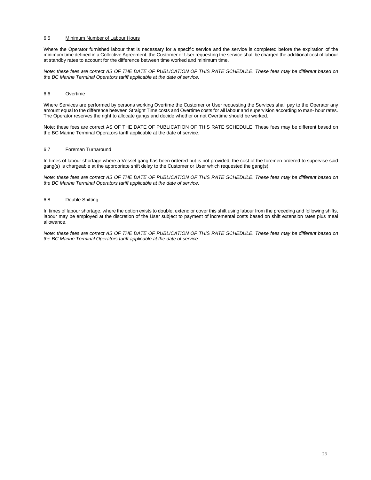# 6.5 Minimum Number of Labour Hours

Where the Operator furnished labour that is necessary for a specific service and the service is completed before the expiration of the minimum time defined in a Collective Agreement, the Customer or User requesting the service shall be charged the additional cost of labour at standby rates to account for the difference between time worked and minimum time.

*Note: these fees are correct AS OF THE DATE OF PUBLICATION OF THIS RATE SCHEDULE. These fees may be different based on the BC Marine Terminal Operators tariff applicable at the date of service.*

# 6.6 Overtime

Where Services are performed by persons working Overtime the Customer or User requesting the Services shall pay to the Operator any amount equal to the difference between Straight Time costs and Overtime costs for all labour and supervision according to man- hour rates. The Operator reserves the right to allocate gangs and decide whether or not Overtime should be worked.

Note: these fees are correct AS OF THE DATE OF PUBLICATION OF THIS RATE SCHEDULE. These fees may be different based on the BC Marine Terminal Operators tariff applicable at the date of service.

# 6.7 Foreman Turnaround

In times of labour shortage where a Vessel gang has been ordered but is not provided, the cost of the foremen ordered to supervise said gang(s) is chargeable at the appropriate shift delay to the Customer or User which requested the gang(s).

*Note: these fees are correct AS OF THE DATE OF PUBLICATION OF THIS RATE SCHEDULE. These fees may be different based on the BC Marine Terminal Operators tariff applicable at the date of service.*

# 6.8 Double Shifting

In times of labour shortage, where the option exists to double, extend or cover this shift using labour from the preceding and following shifts, labour may be employed at the discretion of the User subject to payment of incremental costs based on shift extension rates plus meal allowance.

*Note: these fees are correct AS OF THE DATE OF PUBLICATION OF THIS RATE SCHEDULE. These fees may be different based on the BC Marine Terminal Operators tariff applicable at the date of service.*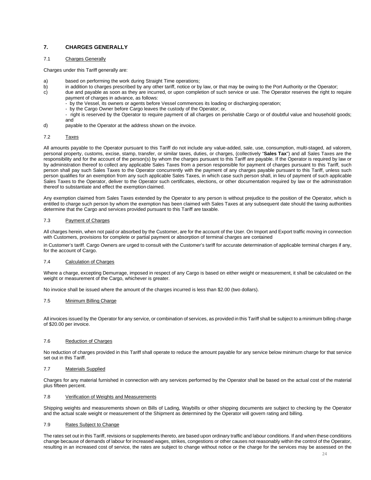# <span id="page-23-0"></span>**7. CHARGES GENERALLY**

#### 7.1 Charges Generally

Charges under this Tariff generally are:

- a) based on performing the work during Straight Time operations;<br>b) in addition to charges prescribed by any other tariff, notice or by
	- in addition to charges prescribed by any other tariff, notice or by law, or that may be owing to the Port Authority or the Operator;
- c) due and payable as soon as they are incurred, or upon completion of such service or use. The Operator reserves the right to require payment of charges in advance, as follows:
	- by the Vessel, its owners or agents before Vessel commences its loading or discharging operation;
	- by the Cargo Owner before Cargo leaves the custody of the Operator; or,

- right is reserved by the Operator to require payment of all charges on perishable Cargo or of doubtful value and household goods; and

d) payable to the Operator at the address shown on the invoice.

#### 7.2 Taxes

All amounts payable to the Operator pursuant to this Tariff do not include any value-added, sale, use, consumption, multi-staged, ad valorem, personal property, customs, excise, stamp, transfer, or similar taxes, duties, or charges, (collectively "**Sales Tax**") and all Sales Taxes are the responsibility and for the account of the person(s) by whom the charges pursuant to this Tariff are payable. If the Operator is required by law or by administration thereof to collect any applicable Sales Taxes from a person responsible for payment of charges pursuant to this Tariff, such person shall pay such Sales Taxes to the Operator concurrently with the payment of any charges payable pursuant to this Tariff, unless such person qualifies for an exemption from any such applicable Sales Taxes, in which case such person shall, in lieu of payment of such applicable Sales Taxes to the Operator, deliver to the Operator such certificates, elections, or other documentation required by law or the administration thereof to substantiate and effect the exemption claimed.

Any exemption claimed from Sales Taxes extended by the Operator to any person is without prejudice to the position of the Operator, which is entitled to charge such person by whom the exemption has been claimed with Sales Taxes at any subsequent date should the taxing authorities determine that the Cargo and services provided pursuant to this Tariff are taxable.

#### 7.3 Payment of Charges

All charges herein, when not paid or absorbed by the Customer, are for the account of the User. On Import and Export traffic moving in connection with Customers, provisions for complete or partial payment or absorption of terminal charges are contained

in Customer's tariff. Cargo Owners are urged to consult with the Customer's tariff for accurate determination of applicable terminal charges if any, for the account of Cargo.

#### 7.4 Calculation of Charges

Where a charge, excepting Demurrage, imposed in respect of any Cargo is based on either weight or measurement, it shall be calculated on the weight or measurement of the Cargo, whichever is greater.

No invoice shall be issued where the amount of the charges incurred is less than \$2.00 (two dollars).

#### 7.5 Minimum Billing Charge

All invoices issued by the Operator for any service, or combination of services, as provided in this Tariff shall be subject to a minimum billing charge of \$20.00 per invoice.

#### 7.6 Reduction of Charges

No reduction of charges provided in this Tariff shall operate to reduce the amount payable for any service below minimum charge for that service set out in this Tariff.

#### 7.7 Materials Supplied

Charges for any material furnished in connection with any services performed by the Operator shall be based on the actual cost of the material plus fifteen percent.

#### 7.8 Verification of Weights and Measurements

Shipping weights and measurements shown on Bills of Lading, Waybills or other shipping documents are subject to checking by the Operator and the actual scale weight or measurement of the Shipment as determined by the Operator will govern rating and billing.

#### 7.9 Rates Subject to Change

The rates set out in this Tariff, revisions or supplements thereto, are based upon ordinary traffic and labour conditions. If and when these conditions change because of demands of labour for increased wages, strikes, congestions or other causes not reasonably within the control of the Operator, resulting in an increased cost of service, the rates are subject to change without notice or the charge for the services may be assessed on the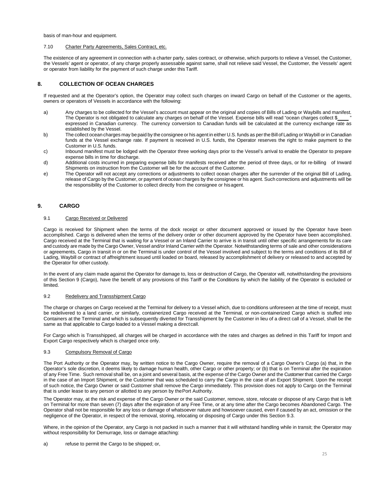basis of man-hour and equipment.

# 7.10 Charter Party Agreements, Sales Contract, etc.

The existence of any agreement in connection with a charter party, sales contract, or otherwise, which purports to relieve a Vessel, the Customer, the Vessels' agent or operator, of any charge properly assessable against same, shall not relieve said Vessel, the Customer, the Vessels' agent or operator from liability for the payment of such charge under this Tariff.

# <span id="page-24-0"></span>**8. COLLECTION OF OCEAN CHARGES**

If requested and at the Operator's option, the Operator may collect such charges on inward Cargo on behalf of the Customer or the agents, owners or operators of Vessels in accordance with the following:

- a) Any charges to be collected for the Vessel's account must appear on the original and copies of Bills of Lading or Waybills and manifest. The Operator is not obligated to calculate any charges on behalf of the Vessel. Expense bills will read "ocean charges collect \$ " expressed in Canadian currency. The currency conversion to Canadian funds will be calculated at the currency exchange rate as established by the Vessel.
- b) The collect ocean charges may be paid by the consignee or his agent in either U.S. funds as per the Bill of Lading or Waybill or in Canadian funds at the Vessel exchange rate. If payment is received in U.S. funds, the Operator reserves the right to make payment to the Customer in U.S. funds.
- c) Inbound manifest must be lodged with the Operator three working days prior to the Vessel's arrival to enable the Operator to prepare expense bills in time for discharge.
- d) Additional costs incurred in preparing expense bills for manifests received after the period of three days, or for re-billing of Inward Shipments on instruction from the Customer will be for the account of the Customer.
- e) The Operator will not accept any corrections or adjustments to collect ocean charges after the surrender of the original Bill of Lading, release of Cargo by the Customer, or payment of ocean charges by the consignee or his agent. Such corrections and adjustments will be the responsibility of the Customer to collect directly from the consignee or hisagent.

# <span id="page-24-1"></span>**9. CARGO**

#### 9.1 Cargo Received or Delivered

Cargo is received for Shipment when the terms of the dock receipt or other document approved or issued by the Operator have been accomplished. Cargo is delivered when the terms of the delivery order or other document approved by the Operator have been accomplished. Cargo received at the Terminal that is waiting for a Vessel or an Inland Carrier to arrive is in transit until other specific arrangements for its care and custody are made by the Cargo Owner, Vessel and/or Inland Carrier with the Operator. Notwithstanding terms of sale and other considerations or agreements, Cargo in transit in or on the Terminal is under control of the Vessel involved and subject to the terms and conditions of its Bill of Lading, Waybill or contract of affreightment issued until loaded on board, released by accomplishment of delivery or released to and accepted by the Operator for other custody.

In the event of any claim made against the Operator for damage to, loss or destruction of Cargo, the Operator will, notwithstanding the provisions of this Section 9 (Cargo), have the benefit of any provisions of this Tariff or the Conditions by which the liability of the Operator is excluded or limited.

#### 9.2 Redelivery and Transshipment Cargo

The charge or charges on Cargo received at the Terminal for delivery to a Vessel which, due to conditions unforeseen at the time of receipt, must be redelivered to a land carrier, or similarly, containerized Cargo received at the Terminal, or non-containerized Cargo which is stuffed into Containers at the Terminal and which is subsequently diverted for Transshipment by the Customer in lieu of a direct call of a Vessel, shall be the same as that applicable to Cargo loaded to a Vessel making a direct call.

For Cargo which is Transshipped, all charges will be charged in accordance with the rates and charges as defined in this Tariff for Import and Export Cargo respectively which is charged once only.

## 9.3 Compulsory Removal of Cargo

The Port Authority or the Operator may, by written notice to the Cargo Owner, require the removal of a Cargo Owner's Cargo (a) that, in the Operator's sole discretion, it deems likely to damage human health, other Cargo or other property; or (b) that is on Terminal after the expiration of any Free Time. Such removal shall be, on a joint and several basis, at the expense of the Cargo Owner and the Customer that carried the Cargo in the case of an Import Shipment, or the Customer that was scheduled to carry the Cargo in the case of an Export Shipment. Upon the receipt of such notice, the Cargo Owner or said Customer shall remove the Cargo immediately. This provision does not apply to Cargo on the Terminal that is under lease to any person or allotted to any person by thePort Authority.

The Operator may, at the risk and expense of the Cargo Owner or the said Customer, remove, store, relocate or dispose of any Cargo that is left on Terminal for more than seven (7) days after the expiration of any Free Time, or at any time after the Cargo becomes Abandoned Cargo. The Operator shall not be responsible for any loss or damage of whatsoever nature and howsoever caused, even if caused by an act, omission or the negligence of the Operator, in respect of the removal, storing, relocating or disposing of Cargo under this Section 9.3.

Where, in the opinion of the Operator, any Cargo is not packed in such a manner that it will withstand handling while in transit; the Operator may without responsibility for Demurrage, loss or damage attaching: